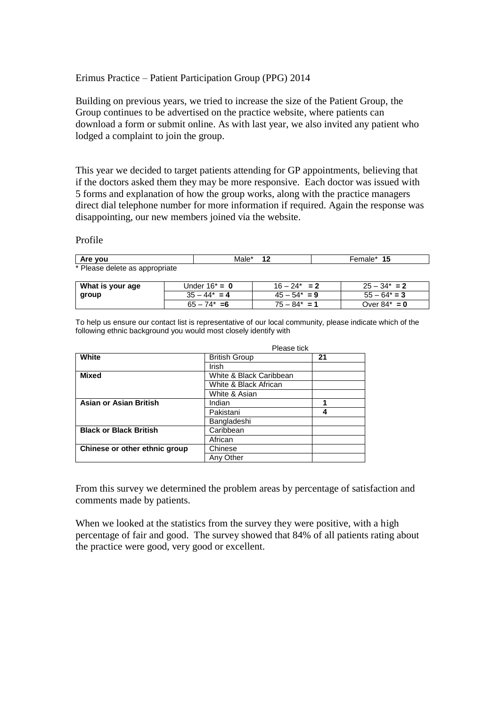## Erimus Practice – Patient Participation Group (PPG) 2014

Building on previous years, we tried to increase the size of the Patient Group, the Group continues to be advertised on the practice website, where patients can download a form or submit online. As with last year, we also invited any patient who lodged a complaint to join the group.

This year we decided to target patients attending for GP appointments, believing that if the doctors asked them they may be more responsive. Each doctor was issued with 5 forms and explanation of how the group works, along with the practice managers direct dial telephone number for more information if required. Again the response was disappointing, our new members joined via the website.

#### Profile

| ∣ Are vou                      | Male* | 15<br>Female* |
|--------------------------------|-------|---------------|
| * Please delete as appropriate |       |               |

| What is your age | Under $16^* = 0$ | $16 - 24^* = 2$ | $25 - 34^* = 2$ |
|------------------|------------------|-----------------|-----------------|
| group            | $35 - 44^* = 4$  | $45 - 54^* = 9$ | $55 - 64^* = 3$ |
|                  | $65 - 74^* = 6$  | $75 - 84^* = 1$ | Over $84^* = 0$ |

To help us ensure our contact list is representative of our local community, please indicate which of the following ethnic background you would most closely identify with

|                               | Please tick             |    |
|-------------------------------|-------------------------|----|
| White                         | <b>British Group</b>    | 21 |
|                               | Irish                   |    |
| <b>Mixed</b>                  | White & Black Caribbean |    |
|                               | White & Black African   |    |
|                               | White & Asian           |    |
| <b>Asian or Asian British</b> | Indian                  | 1  |
|                               | Pakistani               | 4  |
|                               | Bangladeshi             |    |
| <b>Black or Black British</b> | Caribbean               |    |
|                               | African                 |    |
| Chinese or other ethnic group | Chinese                 |    |
|                               | Any Other               |    |

From this survey we determined the problem areas by percentage of satisfaction and comments made by patients.

When we looked at the statistics from the survey they were positive, with a high percentage of fair and good. The survey showed that 84% of all patients rating about the practice were good, very good or excellent.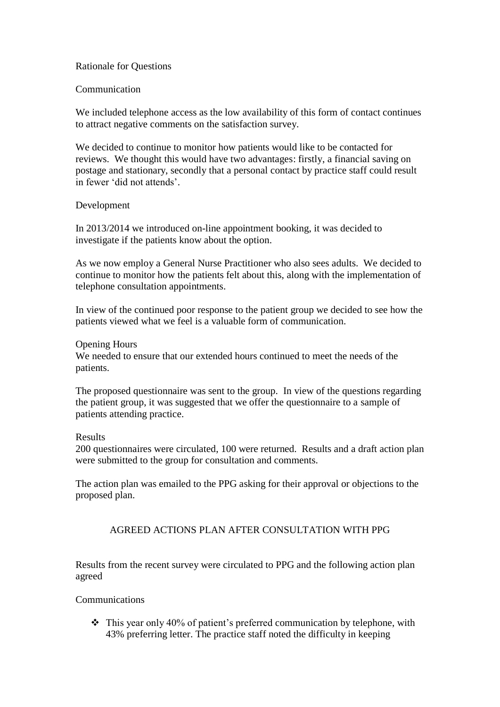## Rationale for Questions

## Communication

We included telephone access as the low availability of this form of contact continues to attract negative comments on the satisfaction survey.

We decided to continue to monitor how patients would like to be contacted for reviews. We thought this would have two advantages: firstly, a financial saving on postage and stationary, secondly that a personal contact by practice staff could result in fewer 'did not attends'.

## Development

In 2013/2014 we introduced on-line appointment booking, it was decided to investigate if the patients know about the option.

As we now employ a General Nurse Practitioner who also sees adults. We decided to continue to monitor how the patients felt about this, along with the implementation of telephone consultation appointments.

In view of the continued poor response to the patient group we decided to see how the patients viewed what we feel is a valuable form of communication.

### Opening Hours

We needed to ensure that our extended hours continued to meet the needs of the patients.

The proposed questionnaire was sent to the group. In view of the questions regarding the patient group, it was suggested that we offer the questionnaire to a sample of patients attending practice.

### Results

200 questionnaires were circulated, 100 were returned. Results and a draft action plan were submitted to the group for consultation and comments.

The action plan was emailed to the PPG asking for their approval or objections to the proposed plan.

# AGREED ACTIONS PLAN AFTER CONSULTATION WITH PPG

Results from the recent survey were circulated to PPG and the following action plan agreed

### Communications

 $\cdot \cdot$  This year only 40% of patient's preferred communication by telephone, with 43% preferring letter. The practice staff noted the difficulty in keeping